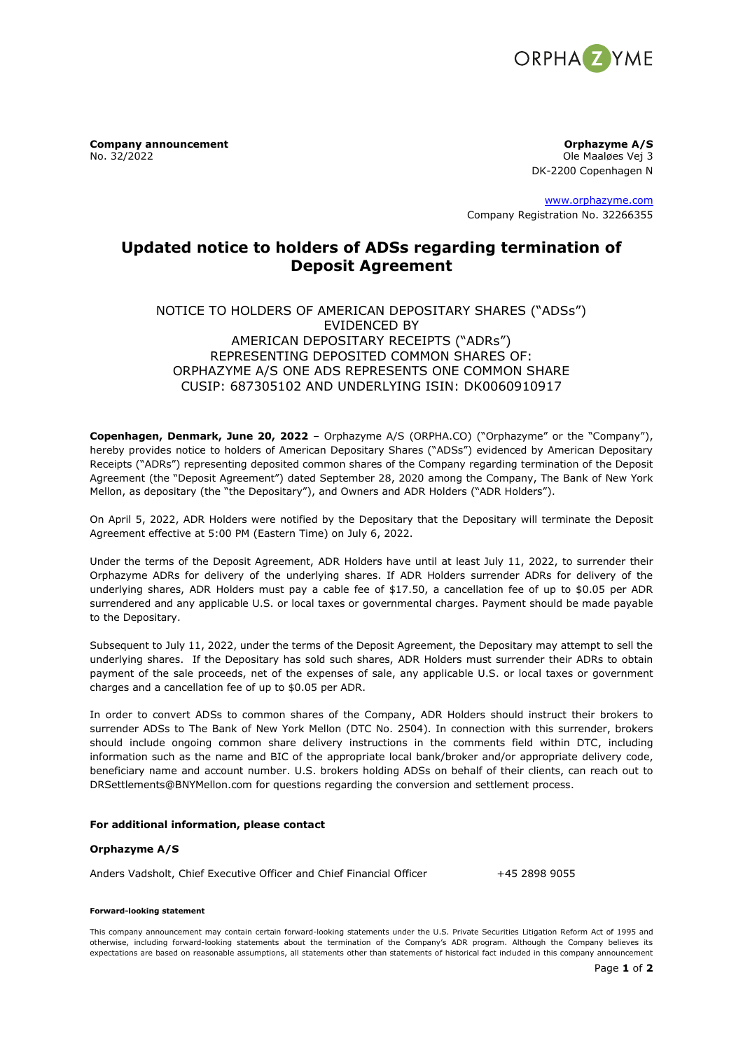

**Company announcement**<br> **No. 32/2022**<br>
Ole Maaløes Vej 3

Ole Maaløes Vej 3 DK-2200 Copenhagen N

[www.orphazyme.com](http://www.orphazyme.com/) Company Registration No. 32266355

# **Updated notice to holders of ADSs regarding termination of Deposit Agreement**

## NOTICE TO HOLDERS OF AMERICAN DEPOSITARY SHARES ("ADSs") EVIDENCED BY AMERICAN DEPOSITARY RECEIPTS ("ADRs") REPRESENTING DEPOSITED COMMON SHARES OF: ORPHAZYME A/S ONE ADS REPRESENTS ONE COMMON SHARE CUSIP: 687305102 AND UNDERLYING ISIN: DK0060910917

**Copenhagen, Denmark, June 20, 2022** – Orphazyme A/S (ORPHA.CO) ("Orphazyme" or the "Company"), hereby provides notice to holders of American Depositary Shares ("ADSs") evidenced by American Depositary Receipts ("ADRs") representing deposited common shares of the Company regarding termination of the Deposit Agreement (the "Deposit Agreement") dated September 28, 2020 among the Company, The Bank of New York Mellon, as depositary (the "the Depositary"), and Owners and ADR Holders ("ADR Holders").

On April 5, 2022, ADR Holders were notified by the Depositary that the Depositary will terminate the Deposit Agreement effective at 5:00 PM (Eastern Time) on July 6, 2022.

Under the terms of the Deposit Agreement, ADR Holders have until at least July 11, 2022, to surrender their Orphazyme ADRs for delivery of the underlying shares. If ADR Holders surrender ADRs for delivery of the underlying shares, ADR Holders must pay a cable fee of \$17.50, a cancellation fee of up to \$0.05 per ADR surrendered and any applicable U.S. or local taxes or governmental charges. Payment should be made payable to the Depositary.

Subsequent to July 11, 2022, under the terms of the Deposit Agreement, the Depositary may attempt to sell the underlying shares. If the Depositary has sold such shares, ADR Holders must surrender their ADRs to obtain payment of the sale proceeds, net of the expenses of sale, any applicable U.S. or local taxes or government charges and a cancellation fee of up to \$0.05 per ADR.

In order to convert ADSs to common shares of the Company, ADR Holders should instruct their brokers to surrender ADSs to The Bank of New York Mellon (DTC No. 2504). In connection with this surrender, brokers should include ongoing common share delivery instructions in the comments field within DTC, including information such as the name and BIC of the appropriate local bank/broker and/or appropriate delivery code, beneficiary name and account number. U.S. brokers holding ADSs on behalf of their clients, can reach out to DRSettlements@BNYMellon.com for questions regarding the conversion and settlement process.

### **For additional information, please contact**

### **Orphazyme A/S**

Anders Vadsholt, Chief Executive Officer and Chief Financial Officer +45 2898 9055

#### **Forward-looking statement**

This company announcement may contain certain forward-looking statements under the U.S. Private Securities Litigation Reform Act of 1995 and otherwise, including forward-looking statements about the termination of the Company's ADR program. Although the Company believes its expectations are based on reasonable assumptions, all statements other than statements of historical fact included in this company announcement